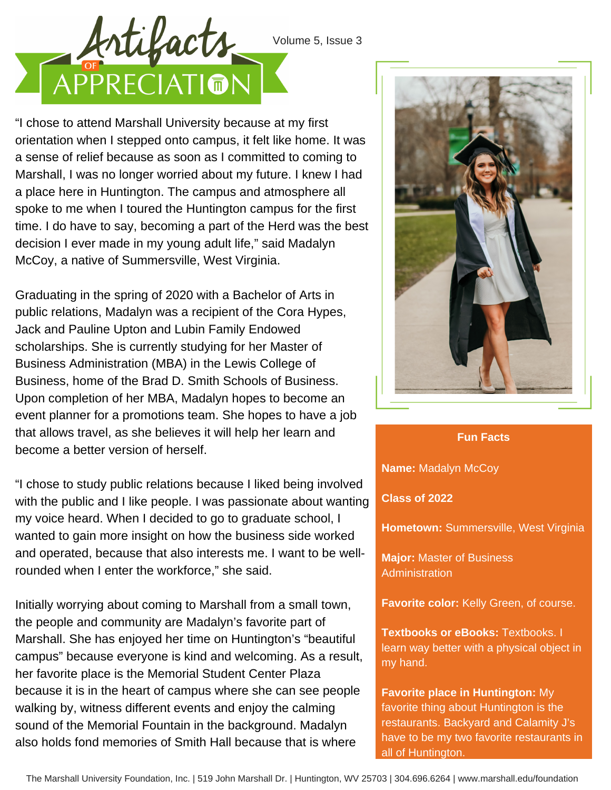## Volume 5, Issue 3



"I chose to attend Marshall University because at my first orientation when I stepped onto campus, it felt like home. It was a sense of relief because as soon as I committed to coming to Marshall, I was no longer worried about my future. I knew I had a place here in Huntington. The campus and atmosphere all spoke to me when I toured the Huntington campus for the first time. I do have to say, becoming a part of the Herd was the best decision I ever made in my young adult life," said Madalyn McCoy, a native of Summersville, West Virginia.

Graduating in the spring of 2020 with a Bachelor of Arts in public relations, Madalyn was a recipient of the Cora Hypes, Jack and Pauline Upton and Lubin Family Endowed scholarships. She is currently studying for her Master of Business Administration (MBA) in the Lewis College of Business, home of the Brad D. Smith Schools of Business. Upon completion of her MBA, Madalyn hopes to become an event planner for a promotions team. She hopes to have a job that allows travel, as she believes it will help her learn and become a better version of herself.

"I chose to study public relations because I liked being involved with the public and I like people. I was passionate about wanting my voice heard. When I decided to go to graduate school, I wanted to gain more insight on how the business side worked and operated, because that also interests me. I want to be wellrounded when I enter the workforce," she said.

Initially worrying about coming to Marshall from a small town, the people and community are Madalyn's favorite part of Marshall. She has enjoyed her time on Huntington's "beautiful campus" because everyone is kind and welcoming. As a result, her favorite place is the Memorial Student Center Plaza because it is in the heart of campus where she can see people walking by, witness different events and enjoy the calming sound of the Memorial Fountain in the background. Madalyn also holds fond memories of Smith Hall because that is where



## **Fun Facts**

**Name:** Madalyn McCoy

**Class of 2022**

**Hometown:** Summersville, West Virginia

**Major:** Master of Business Administration

**Favorite color:** Kelly Green, of course.

**Textbooks or eBooks:** Textbooks. I learn way better with a physical object in my hand.

**Favorite place in Huntington:** My favorite thing about Huntington is the restaurants. Backyard and Calamity J's have to be my two favorite restaurants in all of Huntington.